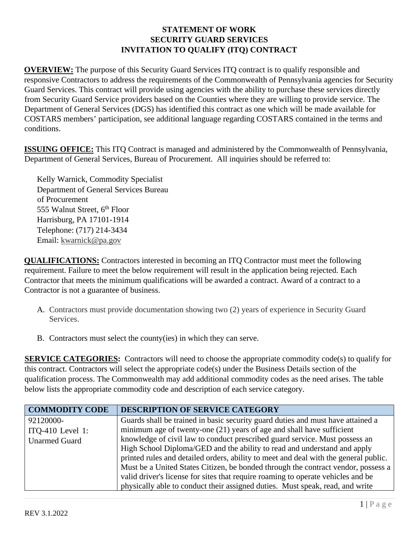**OVERVIEW:** The purpose of this Security Guard Services ITQ contract is to qualify responsible and responsive Contractors to address the requirements of the Commonwealth of Pennsylvania agencies for Security Guard Services. This contract will provide using agencies with the ability to purchase these services directly from Security Guard Service providers based on the Counties where they are willing to provide service. The Department of General Services (DGS) has identified this contract as one which will be made available for COSTARS members' participation, see additional language regarding COSTARS contained in the terms and conditions.

**ISSUING OFFICE:** This ITQ Contract is managed and administered by the Commonwealth of Pennsylvania, Department of General Services, Bureau of Procurement. All inquiries should be referred to:

Kelly Warnick, Commodity Specialist Department of General Services Bureau of Procurement 555 Walnut Street, 6<sup>th</sup> Floor Harrisburg, PA 17101-1914 Telephone: (717) 214-3434 Email: kwarnick@pa.gov

**QUALIFICATIONS:** Contractors interested in becoming an ITQ Contractor must meet the following requirement. Failure to meet the below requirement will result in the application being rejected. Each Contractor that meets the minimum qualifications will be awarded a contract. Award of a contract to a Contractor is not a guarantee of business.

- A. Contractors must provide documentation showing two (2) years of experience in Security Guard Services.
- B. Contractors must select the county(ies) in which they can serve.

**SERVICE CATEGORIES:** Contractors will need to choose the appropriate commodity code(s) to qualify for this contract. Contractors will select the appropriate code(s) under the Business Details section of the qualification process. The Commonwealth may add additional commodity codes as the need arises. The table below lists the appropriate commodity code and description of each service category.

| <b>COMMODITY CODE</b> | <b>DESCRIPTION OF SERVICE CATEGORY</b>                                               |
|-----------------------|--------------------------------------------------------------------------------------|
| 92120000-             | Guards shall be trained in basic security guard duties and must have attained a      |
| ITQ-410 Level 1:      | minimum age of twenty-one $(21)$ years of age and shall have sufficient              |
| <b>Unarmed Guard</b>  | knowledge of civil law to conduct prescribed guard service. Must possess an          |
|                       | High School Diploma/GED and the ability to read and understand and apply             |
|                       | printed rules and detailed orders, ability to meet and deal with the general public. |
|                       | Must be a United States Citizen, be bonded through the contract vendor, possess a    |
|                       | valid driver's license for sites that require roaming to operate vehicles and be     |
|                       | physically able to conduct their assigned duties. Must speak, read, and write        |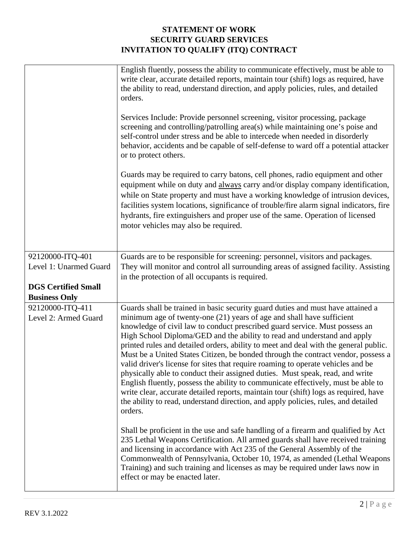|                            | English fluently, possess the ability to communicate effectively, must be able to<br>write clear, accurate detailed reports, maintain tour (shift) logs as required, have<br>the ability to read, understand direction, and apply policies, rules, and detailed<br>orders.<br>Services Include: Provide personnel screening, visitor processing, package<br>screening and controlling/patrolling area(s) while maintaining one's poise and<br>self-control under stress and be able to intercede when needed in disorderly<br>behavior, accidents and be capable of self-defense to ward off a potential attacker<br>or to protect others.<br>Guards may be required to carry batons, cell phones, radio equipment and other<br>equipment while on duty and always carry and/or display company identification,<br>while on State property and must have a working knowledge of intrusion devices,<br>facilities system locations, significance of trouble/fire alarm signal indicators, fire<br>hydrants, fire extinguishers and proper use of the same. Operation of licensed<br>motor vehicles may also be required. |
|----------------------------|-------------------------------------------------------------------------------------------------------------------------------------------------------------------------------------------------------------------------------------------------------------------------------------------------------------------------------------------------------------------------------------------------------------------------------------------------------------------------------------------------------------------------------------------------------------------------------------------------------------------------------------------------------------------------------------------------------------------------------------------------------------------------------------------------------------------------------------------------------------------------------------------------------------------------------------------------------------------------------------------------------------------------------------------------------------------------------------------------------------------------|
| 92120000-ITQ-401           | Guards are to be responsible for screening: personnel, visitors and packages.                                                                                                                                                                                                                                                                                                                                                                                                                                                                                                                                                                                                                                                                                                                                                                                                                                                                                                                                                                                                                                           |
| Level 1: Unarmed Guard     | They will monitor and control all surrounding areas of assigned facility. Assisting                                                                                                                                                                                                                                                                                                                                                                                                                                                                                                                                                                                                                                                                                                                                                                                                                                                                                                                                                                                                                                     |
|                            | in the protection of all occupants is required.                                                                                                                                                                                                                                                                                                                                                                                                                                                                                                                                                                                                                                                                                                                                                                                                                                                                                                                                                                                                                                                                         |
| <b>DGS Certified Small</b> |                                                                                                                                                                                                                                                                                                                                                                                                                                                                                                                                                                                                                                                                                                                                                                                                                                                                                                                                                                                                                                                                                                                         |
| <b>Business Only</b>       |                                                                                                                                                                                                                                                                                                                                                                                                                                                                                                                                                                                                                                                                                                                                                                                                                                                                                                                                                                                                                                                                                                                         |
| 92120000-ITQ-411           | Guards shall be trained in basic security guard duties and must have attained a                                                                                                                                                                                                                                                                                                                                                                                                                                                                                                                                                                                                                                                                                                                                                                                                                                                                                                                                                                                                                                         |
| Level 2: Armed Guard       | minimum age of twenty-one (21) years of age and shall have sufficient<br>knowledge of civil law to conduct prescribed guard service. Must possess an                                                                                                                                                                                                                                                                                                                                                                                                                                                                                                                                                                                                                                                                                                                                                                                                                                                                                                                                                                    |
|                            | High School Diploma/GED and the ability to read and understand and apply                                                                                                                                                                                                                                                                                                                                                                                                                                                                                                                                                                                                                                                                                                                                                                                                                                                                                                                                                                                                                                                |
|                            | printed rules and detailed orders, ability to meet and deal with the general public.                                                                                                                                                                                                                                                                                                                                                                                                                                                                                                                                                                                                                                                                                                                                                                                                                                                                                                                                                                                                                                    |
|                            | Must be a United States Citizen, be bonded through the contract vendor, possess a                                                                                                                                                                                                                                                                                                                                                                                                                                                                                                                                                                                                                                                                                                                                                                                                                                                                                                                                                                                                                                       |
|                            | valid driver's license for sites that require roaming to operate vehicles and be                                                                                                                                                                                                                                                                                                                                                                                                                                                                                                                                                                                                                                                                                                                                                                                                                                                                                                                                                                                                                                        |
|                            | physically able to conduct their assigned duties. Must speak, read, and write                                                                                                                                                                                                                                                                                                                                                                                                                                                                                                                                                                                                                                                                                                                                                                                                                                                                                                                                                                                                                                           |
|                            | English fluently, possess the ability to communicate effectively, must be able to                                                                                                                                                                                                                                                                                                                                                                                                                                                                                                                                                                                                                                                                                                                                                                                                                                                                                                                                                                                                                                       |
|                            | write clear, accurate detailed reports, maintain tour (shift) logs as required, have                                                                                                                                                                                                                                                                                                                                                                                                                                                                                                                                                                                                                                                                                                                                                                                                                                                                                                                                                                                                                                    |
|                            | the ability to read, understand direction, and apply policies, rules, and detailed<br>orders.                                                                                                                                                                                                                                                                                                                                                                                                                                                                                                                                                                                                                                                                                                                                                                                                                                                                                                                                                                                                                           |
|                            | Shall be proficient in the use and safe handling of a firearm and qualified by Act                                                                                                                                                                                                                                                                                                                                                                                                                                                                                                                                                                                                                                                                                                                                                                                                                                                                                                                                                                                                                                      |
|                            | 235 Lethal Weapons Certification. All armed guards shall have received training                                                                                                                                                                                                                                                                                                                                                                                                                                                                                                                                                                                                                                                                                                                                                                                                                                                                                                                                                                                                                                         |
|                            | and licensing in accordance with Act 235 of the General Assembly of the                                                                                                                                                                                                                                                                                                                                                                                                                                                                                                                                                                                                                                                                                                                                                                                                                                                                                                                                                                                                                                                 |
|                            | Commonwealth of Pennsylvania, October 10, 1974, as amended (Lethal Weapons                                                                                                                                                                                                                                                                                                                                                                                                                                                                                                                                                                                                                                                                                                                                                                                                                                                                                                                                                                                                                                              |
|                            | Training) and such training and licenses as may be required under laws now in                                                                                                                                                                                                                                                                                                                                                                                                                                                                                                                                                                                                                                                                                                                                                                                                                                                                                                                                                                                                                                           |
|                            | effect or may be enacted later.                                                                                                                                                                                                                                                                                                                                                                                                                                                                                                                                                                                                                                                                                                                                                                                                                                                                                                                                                                                                                                                                                         |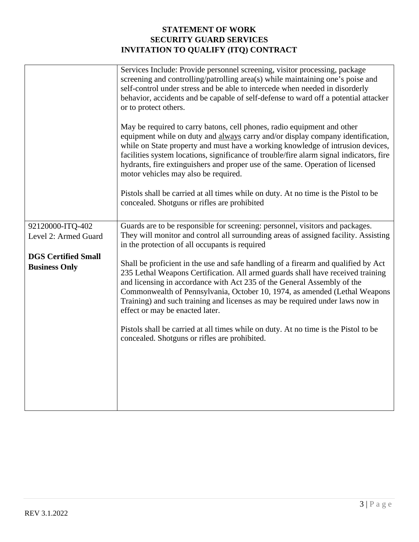|                            | Services Include: Provide personnel screening, visitor processing, package<br>screening and controlling/patrolling area(s) while maintaining one's poise and<br>self-control under stress and be able to intercede when needed in disorderly<br>behavior, accidents and be capable of self-defense to ward off a potential attacker<br>or to protect others.<br>May be required to carry batons, cell phones, radio equipment and other<br>equipment while on duty and always carry and/or display company identification,<br>while on State property and must have a working knowledge of intrusion devices,<br>facilities system locations, significance of trouble/fire alarm signal indicators, fire<br>hydrants, fire extinguishers and proper use of the same. Operation of licensed<br>motor vehicles may also be required.<br>Pistols shall be carried at all times while on duty. At no time is the Pistol to be<br>concealed. Shotguns or rifles are prohibited |
|----------------------------|---------------------------------------------------------------------------------------------------------------------------------------------------------------------------------------------------------------------------------------------------------------------------------------------------------------------------------------------------------------------------------------------------------------------------------------------------------------------------------------------------------------------------------------------------------------------------------------------------------------------------------------------------------------------------------------------------------------------------------------------------------------------------------------------------------------------------------------------------------------------------------------------------------------------------------------------------------------------------|
| 92120000-ITQ-402           | Guards are to be responsible for screening: personnel, visitors and packages.                                                                                                                                                                                                                                                                                                                                                                                                                                                                                                                                                                                                                                                                                                                                                                                                                                                                                             |
| Level 2: Armed Guard       | They will monitor and control all surrounding areas of assigned facility. Assisting<br>in the protection of all occupants is required                                                                                                                                                                                                                                                                                                                                                                                                                                                                                                                                                                                                                                                                                                                                                                                                                                     |
| <b>DGS Certified Small</b> |                                                                                                                                                                                                                                                                                                                                                                                                                                                                                                                                                                                                                                                                                                                                                                                                                                                                                                                                                                           |
| <b>Business Only</b>       | Shall be proficient in the use and safe handling of a firearm and qualified by Act<br>235 Lethal Weapons Certification. All armed guards shall have received training<br>and licensing in accordance with Act 235 of the General Assembly of the<br>Commonwealth of Pennsylvania, October 10, 1974, as amended (Lethal Weapons<br>Training) and such training and licenses as may be required under laws now in<br>effect or may be enacted later.<br>Pistols shall be carried at all times while on duty. At no time is the Pistol to be<br>concealed. Shotguns or rifles are prohibited.                                                                                                                                                                                                                                                                                                                                                                                |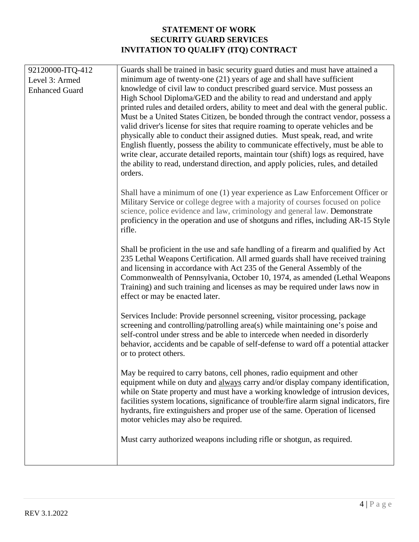| 92120000-ITQ-412                        | Guards shall be trained in basic security guard duties and must have attained a                                                                                            |
|-----------------------------------------|----------------------------------------------------------------------------------------------------------------------------------------------------------------------------|
| Level 3: Armed<br><b>Enhanced Guard</b> | minimum age of twenty-one $(21)$ years of age and shall have sufficient<br>knowledge of civil law to conduct prescribed guard service. Must possess an                     |
|                                         | High School Diploma/GED and the ability to read and understand and apply                                                                                                   |
|                                         | printed rules and detailed orders, ability to meet and deal with the general public.                                                                                       |
|                                         | Must be a United States Citizen, be bonded through the contract vendor, possess a<br>valid driver's license for sites that require roaming to operate vehicles and be      |
|                                         | physically able to conduct their assigned duties. Must speak, read, and write                                                                                              |
|                                         | English fluently, possess the ability to communicate effectively, must be able to                                                                                          |
|                                         | write clear, accurate detailed reports, maintain tour (shift) logs as required, have<br>the ability to read, understand direction, and apply policies, rules, and detailed |
|                                         | orders.                                                                                                                                                                    |
|                                         | Shall have a minimum of one (1) year experience as Law Enforcement Officer or                                                                                              |
|                                         | Military Service or college degree with a majority of courses focused on police                                                                                            |
|                                         | science, police evidence and law, criminology and general law. Demonstrate<br>proficiency in the operation and use of shotguns and rifles, including AR-15 Style           |
|                                         | rifle.                                                                                                                                                                     |
|                                         | Shall be proficient in the use and safe handling of a firearm and qualified by Act                                                                                         |
|                                         | 235 Lethal Weapons Certification. All armed guards shall have received training<br>and licensing in accordance with Act 235 of the General Assembly of the                 |
|                                         | Commonwealth of Pennsylvania, October 10, 1974, as amended (Lethal Weapons                                                                                                 |
|                                         | Training) and such training and licenses as may be required under laws now in                                                                                              |
|                                         | effect or may be enacted later.                                                                                                                                            |
|                                         | Services Include: Provide personnel screening, visitor processing, package                                                                                                 |
|                                         | screening and controlling/patrolling area(s) while maintaining one's poise and<br>self-control under stress and be able to intercede when needed in disorderly             |
|                                         | behavior, accidents and be capable of self-defense to ward off a potential attacker                                                                                        |
|                                         | or to protect others.                                                                                                                                                      |
|                                         | May be required to carry batons, cell phones, radio equipment and other                                                                                                    |
|                                         | equipment while on duty and always carry and/or display company identification,                                                                                            |
|                                         | while on State property and must have a working knowledge of intrusion devices,<br>facilities system locations, significance of trouble/fire alarm signal indicators, fire |
|                                         | hydrants, fire extinguishers and proper use of the same. Operation of licensed                                                                                             |
|                                         | motor vehicles may also be required.                                                                                                                                       |
|                                         | Must carry authorized weapons including rifle or shotgun, as required.                                                                                                     |
|                                         |                                                                                                                                                                            |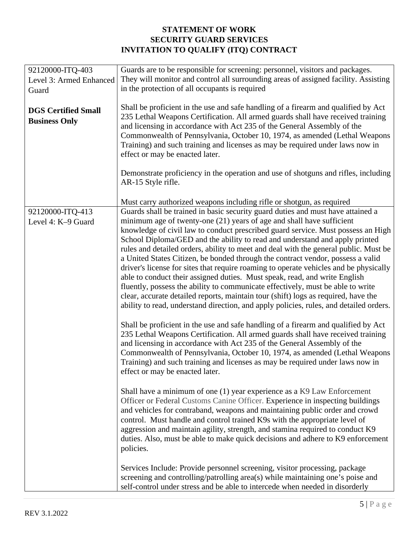| 92120000-ITQ-403                                   | Guards are to be responsible for screening: personnel, visitors and packages.                                                                                                                                                                                                                                                                                                                                                                      |
|----------------------------------------------------|----------------------------------------------------------------------------------------------------------------------------------------------------------------------------------------------------------------------------------------------------------------------------------------------------------------------------------------------------------------------------------------------------------------------------------------------------|
| Level 3: Armed Enhanced                            | They will monitor and control all surrounding areas of assigned facility. Assisting                                                                                                                                                                                                                                                                                                                                                                |
| Guard                                              | in the protection of all occupants is required                                                                                                                                                                                                                                                                                                                                                                                                     |
| <b>DGS Certified Small</b><br><b>Business Only</b> | Shall be proficient in the use and safe handling of a firearm and qualified by Act<br>235 Lethal Weapons Certification. All armed guards shall have received training<br>and licensing in accordance with Act 235 of the General Assembly of the<br>Commonwealth of Pennsylvania, October 10, 1974, as amended (Lethal Weapons<br>Training) and such training and licenses as may be required under laws now in<br>effect or may be enacted later. |
|                                                    | Demonstrate proficiency in the operation and use of shotguns and rifles, including<br>AR-15 Style rifle.                                                                                                                                                                                                                                                                                                                                           |
|                                                    | Must carry authorized weapons including rifle or shotgun, as required                                                                                                                                                                                                                                                                                                                                                                              |
| 92120000-ITQ-413                                   | Guards shall be trained in basic security guard duties and must have attained a                                                                                                                                                                                                                                                                                                                                                                    |
| Level 4: K-9 Guard                                 | minimum age of twenty-one (21) years of age and shall have sufficient                                                                                                                                                                                                                                                                                                                                                                              |
|                                                    | knowledge of civil law to conduct prescribed guard service. Must possess an High                                                                                                                                                                                                                                                                                                                                                                   |
|                                                    | School Diploma/GED and the ability to read and understand and apply printed                                                                                                                                                                                                                                                                                                                                                                        |
|                                                    | rules and detailed orders, ability to meet and deal with the general public. Must be                                                                                                                                                                                                                                                                                                                                                               |
|                                                    | a United States Citizen, be bonded through the contract vendor, possess a valid                                                                                                                                                                                                                                                                                                                                                                    |
|                                                    | driver's license for sites that require roaming to operate vehicles and be physically                                                                                                                                                                                                                                                                                                                                                              |
|                                                    | able to conduct their assigned duties. Must speak, read, and write English                                                                                                                                                                                                                                                                                                                                                                         |
|                                                    | fluently, possess the ability to communicate effectively, must be able to write                                                                                                                                                                                                                                                                                                                                                                    |
|                                                    | clear, accurate detailed reports, maintain tour (shift) logs as required, have the                                                                                                                                                                                                                                                                                                                                                                 |
|                                                    | ability to read, understand direction, and apply policies, rules, and detailed orders.                                                                                                                                                                                                                                                                                                                                                             |
|                                                    | Shall be proficient in the use and safe handling of a firearm and qualified by Act                                                                                                                                                                                                                                                                                                                                                                 |
|                                                    | 235 Lethal Weapons Certification. All armed guards shall have received training                                                                                                                                                                                                                                                                                                                                                                    |
|                                                    | and licensing in accordance with Act 235 of the General Assembly of the                                                                                                                                                                                                                                                                                                                                                                            |
|                                                    | Commonwealth of Pennsylvania, October 10, 1974, as amended (Lethal Weapons                                                                                                                                                                                                                                                                                                                                                                         |
|                                                    | Training) and such training and licenses as may be required under laws now in                                                                                                                                                                                                                                                                                                                                                                      |
|                                                    | effect or may be enacted later.                                                                                                                                                                                                                                                                                                                                                                                                                    |
|                                                    | Shall have a minimum of one (1) year experience as a K9 Law Enforcement                                                                                                                                                                                                                                                                                                                                                                            |
|                                                    | Officer or Federal Customs Canine Officer. Experience in inspecting buildings                                                                                                                                                                                                                                                                                                                                                                      |
|                                                    | and vehicles for contraband, weapons and maintaining public order and crowd                                                                                                                                                                                                                                                                                                                                                                        |
|                                                    | control. Must handle and control trained K9s with the appropriate level of                                                                                                                                                                                                                                                                                                                                                                         |
|                                                    | aggression and maintain agility, strength, and stamina required to conduct K9                                                                                                                                                                                                                                                                                                                                                                      |
|                                                    | duties. Also, must be able to make quick decisions and adhere to K9 enforcement                                                                                                                                                                                                                                                                                                                                                                    |
|                                                    | policies.                                                                                                                                                                                                                                                                                                                                                                                                                                          |
|                                                    |                                                                                                                                                                                                                                                                                                                                                                                                                                                    |
|                                                    | Services Include: Provide personnel screening, visitor processing, package                                                                                                                                                                                                                                                                                                                                                                         |
|                                                    | screening and controlling/patrolling area(s) while maintaining one's poise and                                                                                                                                                                                                                                                                                                                                                                     |
|                                                    | self-control under stress and be able to intercede when needed in disorderly                                                                                                                                                                                                                                                                                                                                                                       |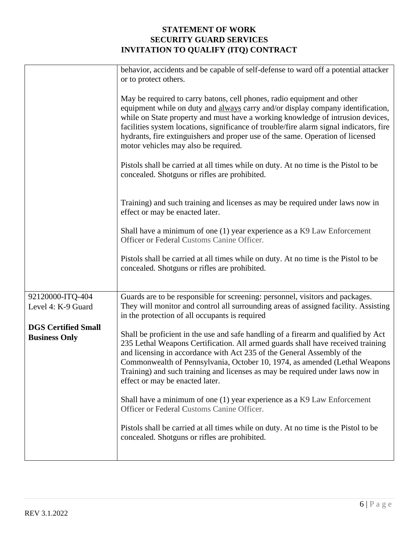|                                                    | behavior, accidents and be capable of self-defense to ward off a potential attacker<br>or to protect others.                                                                                                                                                                                                                                                                                                                                                       |
|----------------------------------------------------|--------------------------------------------------------------------------------------------------------------------------------------------------------------------------------------------------------------------------------------------------------------------------------------------------------------------------------------------------------------------------------------------------------------------------------------------------------------------|
|                                                    | May be required to carry batons, cell phones, radio equipment and other<br>equipment while on duty and always carry and/or display company identification,<br>while on State property and must have a working knowledge of intrusion devices,<br>facilities system locations, significance of trouble/fire alarm signal indicators, fire<br>hydrants, fire extinguishers and proper use of the same. Operation of licensed<br>motor vehicles may also be required. |
|                                                    | Pistols shall be carried at all times while on duty. At no time is the Pistol to be<br>concealed. Shotguns or rifles are prohibited.                                                                                                                                                                                                                                                                                                                               |
|                                                    | Training) and such training and licenses as may be required under laws now in<br>effect or may be enacted later.                                                                                                                                                                                                                                                                                                                                                   |
|                                                    | Shall have a minimum of one (1) year experience as a K9 Law Enforcement<br>Officer or Federal Customs Canine Officer.                                                                                                                                                                                                                                                                                                                                              |
|                                                    | Pistols shall be carried at all times while on duty. At no time is the Pistol to be<br>concealed. Shotguns or rifles are prohibited.                                                                                                                                                                                                                                                                                                                               |
|                                                    |                                                                                                                                                                                                                                                                                                                                                                                                                                                                    |
| 92120000-ITQ-404<br>Level 4: K-9 Guard             | Guards are to be responsible for screening: personnel, visitors and packages.<br>They will monitor and control all surrounding areas of assigned facility. Assisting<br>in the protection of all occupants is required                                                                                                                                                                                                                                             |
| <b>DGS Certified Small</b><br><b>Business Only</b> | Shall be proficient in the use and safe handling of a firearm and qualified by Act<br>235 Lethal Weapons Certification. All armed guards shall have received training<br>and licensing in accordance with Act 235 of the General Assembly of the<br>Commonwealth of Pennsylvania, October 10, 1974, as amended (Lethal Weapons<br>Training) and such training and licenses as may be required under laws now in<br>effect or may be enacted later.                 |
|                                                    | Shall have a minimum of one (1) year experience as a K9 Law Enforcement<br>Officer or Federal Customs Canine Officer.                                                                                                                                                                                                                                                                                                                                              |
|                                                    | Pistols shall be carried at all times while on duty. At no time is the Pistol to be<br>concealed. Shotguns or rifles are prohibited.                                                                                                                                                                                                                                                                                                                               |
|                                                    |                                                                                                                                                                                                                                                                                                                                                                                                                                                                    |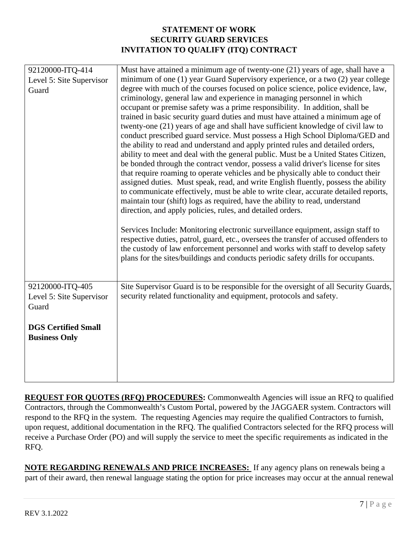| 92120000-ITQ-414           | Must have attained a minimum age of twenty-one (21) years of age, shall have a                                                                                                                                                                                                                                                                                                                                                                                                                                                                                                                                                                                                                                                                                                                                                                                                                                                                                                                                                                                                                                                                                                                                                                                                                                                                                                                                                                                                                                                   |
|----------------------------|----------------------------------------------------------------------------------------------------------------------------------------------------------------------------------------------------------------------------------------------------------------------------------------------------------------------------------------------------------------------------------------------------------------------------------------------------------------------------------------------------------------------------------------------------------------------------------------------------------------------------------------------------------------------------------------------------------------------------------------------------------------------------------------------------------------------------------------------------------------------------------------------------------------------------------------------------------------------------------------------------------------------------------------------------------------------------------------------------------------------------------------------------------------------------------------------------------------------------------------------------------------------------------------------------------------------------------------------------------------------------------------------------------------------------------------------------------------------------------------------------------------------------------|
| Level 5: Site Supervisor   | minimum of one (1) year Guard Supervisory experience, or a two (2) year college                                                                                                                                                                                                                                                                                                                                                                                                                                                                                                                                                                                                                                                                                                                                                                                                                                                                                                                                                                                                                                                                                                                                                                                                                                                                                                                                                                                                                                                  |
| Guard                      | degree with much of the courses focused on police science, police evidence, law,<br>criminology, general law and experience in managing personnel in which<br>occupant or premise safety was a prime responsibility. In addition, shall be<br>trained in basic security guard duties and must have attained a minimum age of<br>twenty-one (21) years of age and shall have sufficient knowledge of civil law to<br>conduct prescribed guard service. Must possess a High School Diploma/GED and<br>the ability to read and understand and apply printed rules and detailed orders,<br>ability to meet and deal with the general public. Must be a United States Citizen,<br>be bonded through the contract vendor, possess a valid driver's license for sites<br>that require roaming to operate vehicles and be physically able to conduct their<br>assigned duties. Must speak, read, and write English fluently, possess the ability<br>to communicate effectively, must be able to write clear, accurate detailed reports,<br>maintain tour (shift) logs as required, have the ability to read, understand<br>direction, and apply policies, rules, and detailed orders.<br>Services Include: Monitoring electronic surveillance equipment, assign staff to<br>respective duties, patrol, guard, etc., oversees the transfer of accused offenders to<br>the custody of law enforcement personnel and works with staff to develop safety<br>plans for the sites/buildings and conducts periodic safety drills for occupants. |
| 92120000-ITQ-405           | Site Supervisor Guard is to be responsible for the oversight of all Security Guards,                                                                                                                                                                                                                                                                                                                                                                                                                                                                                                                                                                                                                                                                                                                                                                                                                                                                                                                                                                                                                                                                                                                                                                                                                                                                                                                                                                                                                                             |
| Level 5: Site Supervisor   | security related functionality and equipment, protocols and safety.                                                                                                                                                                                                                                                                                                                                                                                                                                                                                                                                                                                                                                                                                                                                                                                                                                                                                                                                                                                                                                                                                                                                                                                                                                                                                                                                                                                                                                                              |
| Guard                      |                                                                                                                                                                                                                                                                                                                                                                                                                                                                                                                                                                                                                                                                                                                                                                                                                                                                                                                                                                                                                                                                                                                                                                                                                                                                                                                                                                                                                                                                                                                                  |
| <b>DGS Certified Small</b> |                                                                                                                                                                                                                                                                                                                                                                                                                                                                                                                                                                                                                                                                                                                                                                                                                                                                                                                                                                                                                                                                                                                                                                                                                                                                                                                                                                                                                                                                                                                                  |
| <b>Business Only</b>       |                                                                                                                                                                                                                                                                                                                                                                                                                                                                                                                                                                                                                                                                                                                                                                                                                                                                                                                                                                                                                                                                                                                                                                                                                                                                                                                                                                                                                                                                                                                                  |
|                            |                                                                                                                                                                                                                                                                                                                                                                                                                                                                                                                                                                                                                                                                                                                                                                                                                                                                                                                                                                                                                                                                                                                                                                                                                                                                                                                                                                                                                                                                                                                                  |
|                            |                                                                                                                                                                                                                                                                                                                                                                                                                                                                                                                                                                                                                                                                                                                                                                                                                                                                                                                                                                                                                                                                                                                                                                                                                                                                                                                                                                                                                                                                                                                                  |
|                            |                                                                                                                                                                                                                                                                                                                                                                                                                                                                                                                                                                                                                                                                                                                                                                                                                                                                                                                                                                                                                                                                                                                                                                                                                                                                                                                                                                                                                                                                                                                                  |

**REQUEST FOR QUOTES (RFQ) PROCEDURES:** Commonwealth Agencies will issue an RFQ to qualified Contractors, through the Commonwealth's Custom Portal, powered by the JAGGAER system. Contractors will respond to the RFQ in the system. The requesting Agencies may require the qualified Contractors to furnish, upon request, additional documentation in the RFQ. The qualified Contractors selected for the RFQ process will receive a Purchase Order (PO) and will supply the service to meet the specific requirements as indicated in the RFQ.

**NOTE REGARDING RENEWALS AND PRICE INCREASES:** If any agency plans on renewals being a part of their award, then renewal language stating the option for price increases may occur at the annual renewal